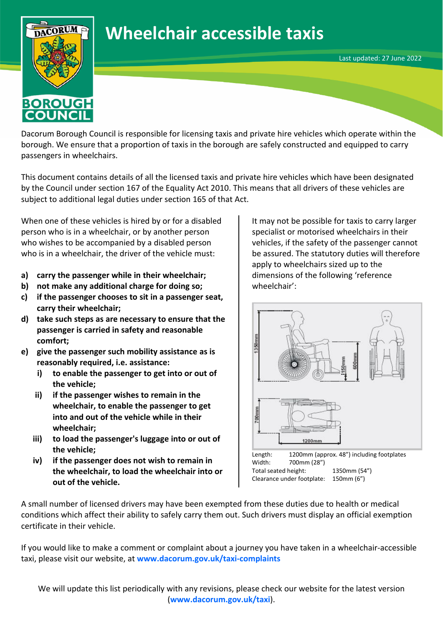## **Wheelchair accessible taxis**



Dacorum Borough Council is responsible for licensing taxis and private hire vehicles which operate within the borough. We ensure that a proportion of taxis in the borough are safely constructed and equipped to carry passengers in wheelchairs.

This document contains details of all the licensed taxis and private hire vehicles which have been designated by the Council under section 167 of the Equality Act 2010. This means that all drivers of these vehicles are subject to additional legal duties under section 165 of that Act.

When one of these vehicles is hired by or for a disabled person who is in a wheelchair, or by another person who wishes to be accompanied by a disabled person who is in a wheelchair, the driver of the vehicle must:

- **a) carry the passenger while in their wheelchair;**
- **b) not make any additional charge for doing so;**
- **c) if the passenger chooses to sit in a passenger seat, carry their wheelchair;**
- **d) take such steps as are necessary to ensure that the passenger is carried in safety and reasonable comfort;**
- **e) give the passenger such mobility assistance as is reasonably required, i.e. assistance:**
	- **i) to enable the passenger to get into or out of the vehicle;**
	- **ii) if the passenger wishes to remain in the wheelchair, to enable the passenger to get into and out of the vehicle while in their wheelchair;**
	- **iii) to load the passenger's luggage into or out of the vehicle;**
	- **iv) if the passenger does not wish to remain in the wheelchair, to load the wheelchair into or out of the vehicle.**

It may not be possible for taxis to carry larger specialist or motorised wheelchairs in their vehicles, if the safety of the passenger cannot be assured. The statutory duties will therefore apply to wheelchairs sized up to the dimensions of the following 'reference wheelchair':

Last updated: 27 June 2022



Total seated height: 1350mm (54") Clearance under footplate: 150mm (6")

A small number of licensed drivers may have been exempted from these duties due to health or medical conditions which affect their ability to safely carry them out. Such drivers must display an official exemption certificate in their vehicle.

If you would like to make a comment or complaint about a journey you have taken in a wheelchair-accessible taxi, please visit our website, at **[www.dacorum.gov.uk/taxi-complaints](http://www.dacorum.gov.uk/taxi-complaints)**

We will update this list periodically with any revisions, please check our website for the latest version (**[www.dacorum.gov.uk/taxi](http://www.dacorum.gov.uk/taxi)**).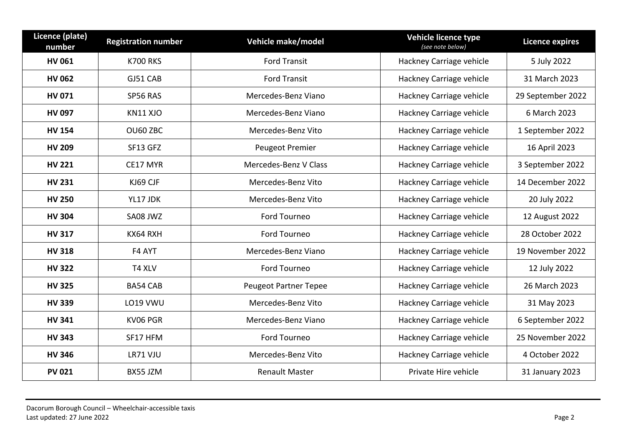| Licence (plate)<br>number | <b>Registration number</b> | Vehicle make/model           | Vehicle licence type<br>(see note below) | <b>Licence expires</b> |
|---------------------------|----------------------------|------------------------------|------------------------------------------|------------------------|
| <b>HV 061</b>             | <b>K700 RKS</b>            | <b>Ford Transit</b>          | Hackney Carriage vehicle                 | 5 July 2022            |
| <b>HV 062</b>             | GJ51 CAB                   | <b>Ford Transit</b>          | Hackney Carriage vehicle                 | 31 March 2023          |
| <b>HV 071</b>             | SP56 RAS                   | Mercedes-Benz Viano          | Hackney Carriage vehicle                 | 29 September 2022      |
| HV 097                    | KN11 XJO                   | Mercedes-Benz Viano          | Hackney Carriage vehicle                 | 6 March 2023           |
| <b>HV 154</b>             | OU60 ZBC                   | Mercedes-Benz Vito           | Hackney Carriage vehicle                 | 1 September 2022       |
| <b>HV 209</b>             | SF13 GFZ                   | <b>Peugeot Premier</b>       | Hackney Carriage vehicle                 | 16 April 2023          |
| <b>HV 221</b>             | CE17 MYR                   | Mercedes-Benz V Class        | Hackney Carriage vehicle                 | 3 September 2022       |
| <b>HV 231</b>             | KJ69 CJF                   | Mercedes-Benz Vito           | Hackney Carriage vehicle                 | 14 December 2022       |
| <b>HV 250</b>             | YL17 JDK                   | Mercedes-Benz Vito           | Hackney Carriage vehicle                 | 20 July 2022           |
| <b>HV 304</b>             | SA08 JWZ                   | Ford Tourneo                 | Hackney Carriage vehicle                 | 12 August 2022         |
| <b>HV 317</b>             | KX64 RXH                   | Ford Tourneo                 | Hackney Carriage vehicle                 | 28 October 2022        |
| <b>HV 318</b>             | F4 AYT                     | Mercedes-Benz Viano          | Hackney Carriage vehicle                 | 19 November 2022       |
| <b>HV 322</b>             | T4 XLV                     | Ford Tourneo                 | Hackney Carriage vehicle                 | 12 July 2022           |
| <b>HV 325</b>             | <b>BA54 CAB</b>            | <b>Peugeot Partner Tepee</b> | Hackney Carriage vehicle                 | 26 March 2023          |
| <b>HV 339</b>             | LO19 VWU                   | Mercedes-Benz Vito           | Hackney Carriage vehicle                 | 31 May 2023            |
| <b>HV 341</b>             | KV06 PGR                   | Mercedes-Benz Viano          | Hackney Carriage vehicle                 | 6 September 2022       |
| <b>HV 343</b>             | SF17 HFM                   | Ford Tourneo                 | Hackney Carriage vehicle                 | 25 November 2022       |
| <b>HV 346</b>             | LR71 VJU                   | Mercedes-Benz Vito           | Hackney Carriage vehicle                 | 4 October 2022         |
| <b>PV 021</b>             | BX55 JZM                   | <b>Renault Master</b>        | Private Hire vehicle                     | 31 January 2023        |